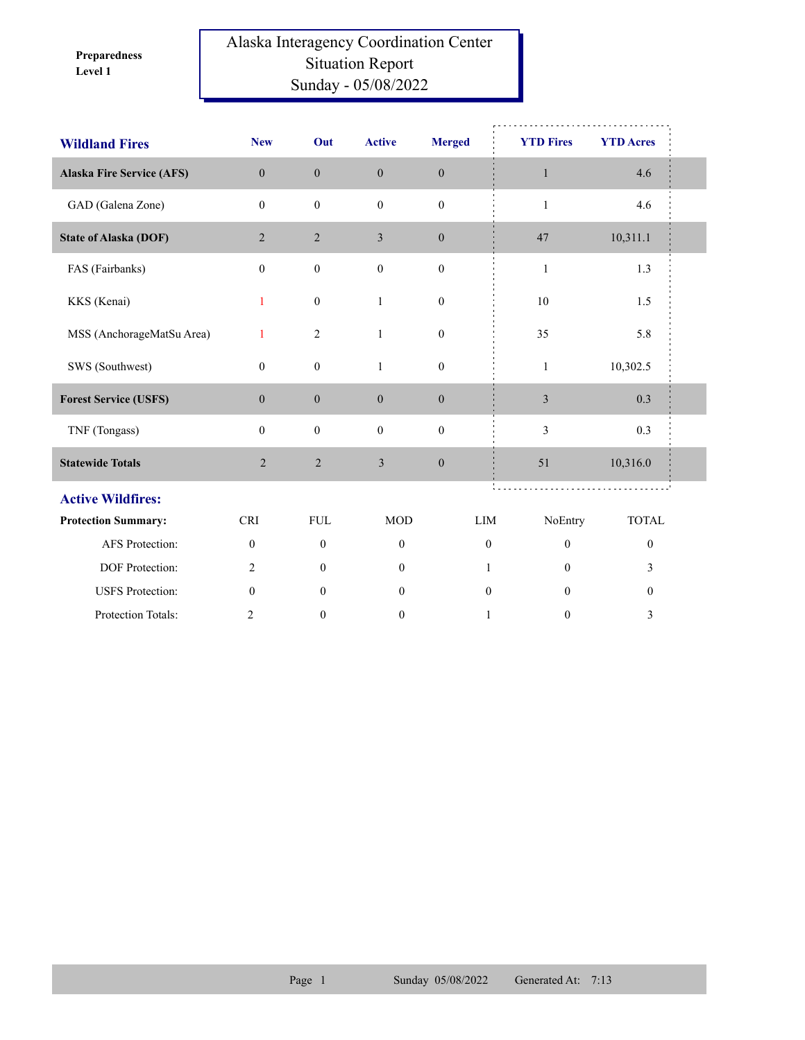**Level 1 Preparedness** 

## Alaska Interagency Coordination Center Situation Report Sunday - 05/08/2022

| <b>Wildland Fires</b>            | <b>New</b>       | Out              | <b>Active</b>    | <b>Merged</b>    | <b>YTD Fires</b> | <b>YTD Acres</b> |  |
|----------------------------------|------------------|------------------|------------------|------------------|------------------|------------------|--|
| <b>Alaska Fire Service (AFS)</b> | $\overline{0}$   | $\mathbf{0}$     | $\mathbf{0}$     | $\boldsymbol{0}$ | $\mathbf{1}$     | 4.6              |  |
| GAD (Galena Zone)                | $\mathbf{0}$     | $\boldsymbol{0}$ | $\mathbf{0}$     | $\boldsymbol{0}$ | $\mathbf{1}$     | 4.6              |  |
| <b>State of Alaska (DOF)</b>     | 2                | $\overline{2}$   | 3                | $\mathbf{0}$     | 47               | 10,311.1         |  |
| FAS (Fairbanks)                  | $\mathbf{0}$     | $\boldsymbol{0}$ | $\boldsymbol{0}$ | $\boldsymbol{0}$ | $\mathbf{1}$     | 1.3              |  |
| KKS (Kenai)                      | 1                | $\mathbf{0}$     | $\mathbf{1}$     | $\mathbf{0}$     | 10               | 1.5              |  |
| MSS (AnchorageMatSu Area)        | 1                | $\sqrt{2}$       | $\,1$            | $\boldsymbol{0}$ | 35               | 5.8              |  |
| SWS (Southwest)                  | $\mathbf{0}$     | $\boldsymbol{0}$ | $\mathbf{1}$     | $\boldsymbol{0}$ | $\mathbf{1}$     | 10,302.5         |  |
| <b>Forest Service (USFS)</b>     | $\boldsymbol{0}$ | $\boldsymbol{0}$ | $\mathbf{0}$     | $\boldsymbol{0}$ | 3                | 0.3              |  |
| TNF (Tongass)                    | $\mathbf{0}$     | $\boldsymbol{0}$ | $\boldsymbol{0}$ | $\mathbf{0}$     | 3                | 0.3              |  |
| <b>Statewide Totals</b>          | $\overline{2}$   | $\sqrt{2}$       | $\mathfrak{Z}$   | $\boldsymbol{0}$ | 51               | 10,316.0         |  |
| <b>Active Wildfires:</b>         |                  |                  |                  |                  |                  |                  |  |
| <b>Protection Summary:</b>       | <b>CRI</b>       | ${\rm FUL}$      | <b>MOD</b>       | ${\rm LIM}$      | NoEntry          | <b>TOTAL</b>     |  |
| <b>AFS</b> Protection:           | $\mathbf{0}$     | $\mathbf{0}$     | $\mathbf{0}$     | $\mathbf{0}$     | $\mathbf{0}$     | $\boldsymbol{0}$ |  |
| DOF Protection:                  | 2                | $\mathbf{0}$     | $\mathbf{0}$     | 1                | $\Omega$         | 3                |  |
| <b>USFS</b> Protection:          | $\mathbf{0}$     | $\mathbf{0}$     | $\boldsymbol{0}$ | $\boldsymbol{0}$ | $\theta$         | $\boldsymbol{0}$ |  |
| Protection Totals:               | $\overline{2}$   | $\boldsymbol{0}$ | $\boldsymbol{0}$ | $\mathbf{1}$     | $\boldsymbol{0}$ | 3                |  |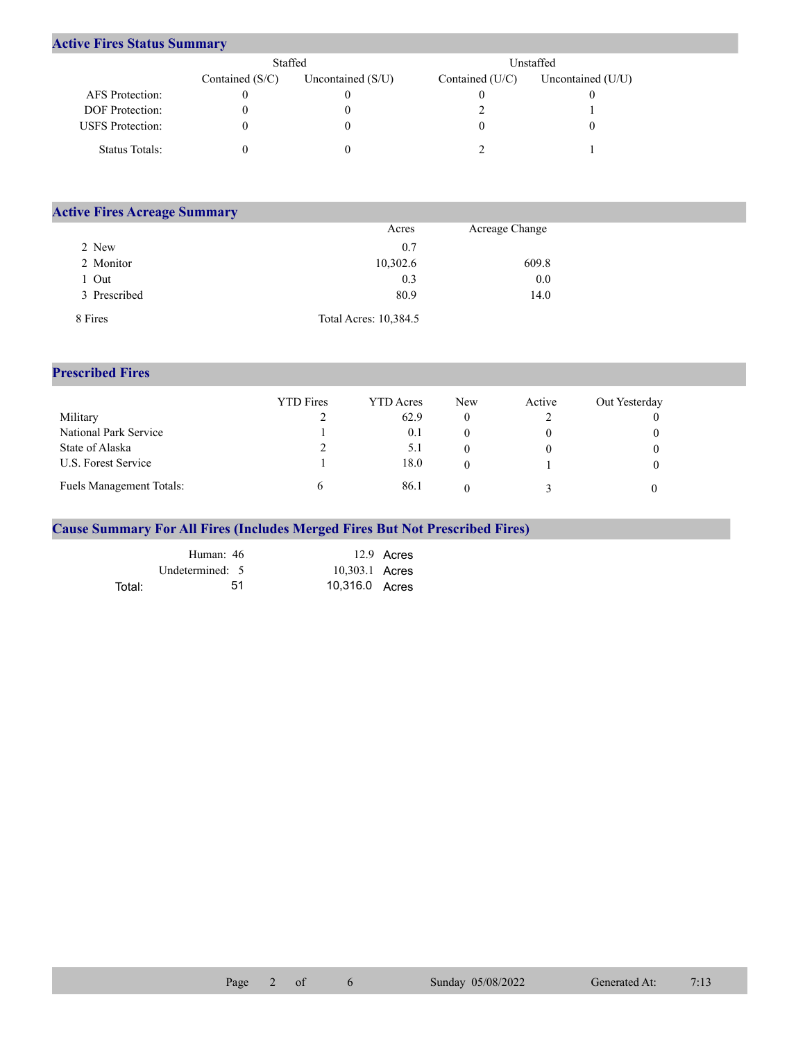## **Active Fires Status Summary**

|                         | Staffed           |                     |                 | Unstaffed           |
|-------------------------|-------------------|---------------------|-----------------|---------------------|
|                         | Contained $(S/C)$ | Uncontained $(S/U)$ | Contained (U/C) | Uncontained $(U/U)$ |
| AFS Protection:         |                   |                     |                 |                     |
| <b>DOF</b> Protection:  |                   |                     |                 |                     |
| <b>USFS</b> Protection: |                   |                     |                 |                     |
| Status Totals:          |                   |                     |                 |                     |

| <b>Active Fires Acreage Summary</b> |                       |                |  |  |  |  |  |  |  |
|-------------------------------------|-----------------------|----------------|--|--|--|--|--|--|--|
|                                     | Acres                 | Acreage Change |  |  |  |  |  |  |  |
| 2 New                               | 0.7                   |                |  |  |  |  |  |  |  |
| 2 Monitor                           | 10,302.6              | 609.8          |  |  |  |  |  |  |  |
| Out                                 | 0.3                   | 0.0            |  |  |  |  |  |  |  |
| 3 Prescribed                        | 80.9                  | 14.0           |  |  |  |  |  |  |  |
| 8 Fires                             | Total Acres: 10,384.5 |                |  |  |  |  |  |  |  |

## **Prescribed Fires**

|                                 | <b>YTD</b> Fires | <b>YTD</b> Acres | <b>New</b> | Active | Out Yesterday |
|---------------------------------|------------------|------------------|------------|--------|---------------|
| Military                        |                  | 62.9             |            |        |               |
| National Park Service           |                  | 0.1              |            |        |               |
| State of Alaska                 |                  | 5.1              |            |        |               |
| U.S. Forest Service             |                  | 18.0             |            |        |               |
| <b>Fuels Management Totals:</b> |                  | 86.1             |            |        |               |

## **Cause Summary For All Fires (Includes Merged Fires But Not Prescribed Fires)**

|        | Human: 46       | 12.9 Acres     |
|--------|-----------------|----------------|
|        | Undetermined: 5 | 10,303.1 Acres |
| Total: | 51              | 10,316.0 Acres |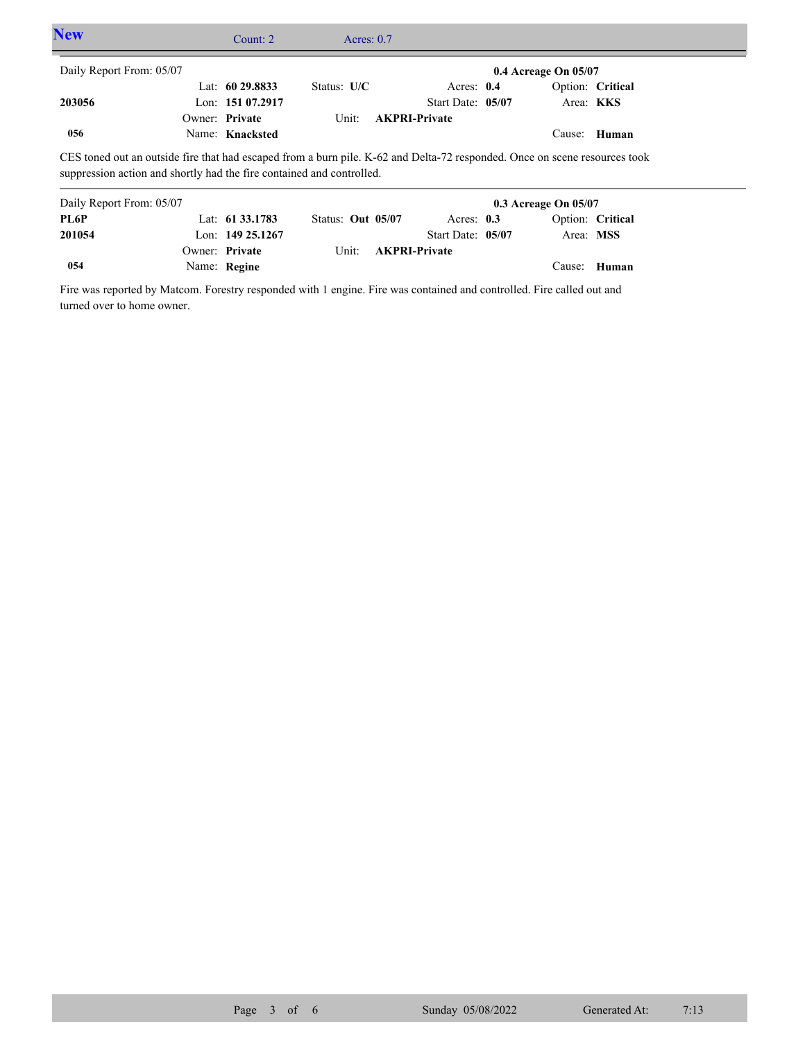| <b>New</b>                                                                                                                                                                                          |  | Count: $2$        | Acres: $0.7$  |                      |  |                          |                  |  |  |  |
|-----------------------------------------------------------------------------------------------------------------------------------------------------------------------------------------------------|--|-------------------|---------------|----------------------|--|--------------------------|------------------|--|--|--|
| Daily Report From: 05/07                                                                                                                                                                            |  |                   |               |                      |  | $0.4$ Acreage On $05/07$ |                  |  |  |  |
|                                                                                                                                                                                                     |  | Lat: $6029.8833$  | Status: $U/C$ | Acres: $0.4$         |  |                          | Option: Critical |  |  |  |
| 203056                                                                                                                                                                                              |  | Lon: $15107.2917$ |               | Start Date: 05/07    |  |                          | Area: <b>KKS</b> |  |  |  |
|                                                                                                                                                                                                     |  | Owner: Private    | Unit:         | <b>AKPRI-Private</b> |  |                          |                  |  |  |  |
| 056                                                                                                                                                                                                 |  | Name: Knacksted   |               |                      |  |                          | Cause: Human     |  |  |  |
| CES toned out an outside fire that had escaped from a burn pile. K-62 and Delta-72 responded. Once on scene resources took<br>suppression action and shortly had the fire contained and controlled. |  |                   |               |                      |  |                          |                  |  |  |  |

| Daily Report From: 05/07 |                     |                   |                            |                   | $0.3$ Acreage On $05/07$ |                  |
|--------------------------|---------------------|-------------------|----------------------------|-------------------|--------------------------|------------------|
| PL6P                     | Lat: $61\,33.1783$  | Status: Out 05/07 |                            | Acres: $0.3$      |                          | Option: Critical |
| 201054                   | Lon: $149\,25.1267$ |                   |                            | Start Date: 05/07 | Area: MSS                |                  |
|                          | Owner: Private      |                   | Unit: <b>AKPRI-Private</b> |                   |                          |                  |
| 054                      | Name: Regine        |                   |                            |                   |                          | Cause: Human     |

Fire was reported by Matcom. Forestry responded with 1 engine. Fire was contained and controlled. Fire called out and turned over to home owner.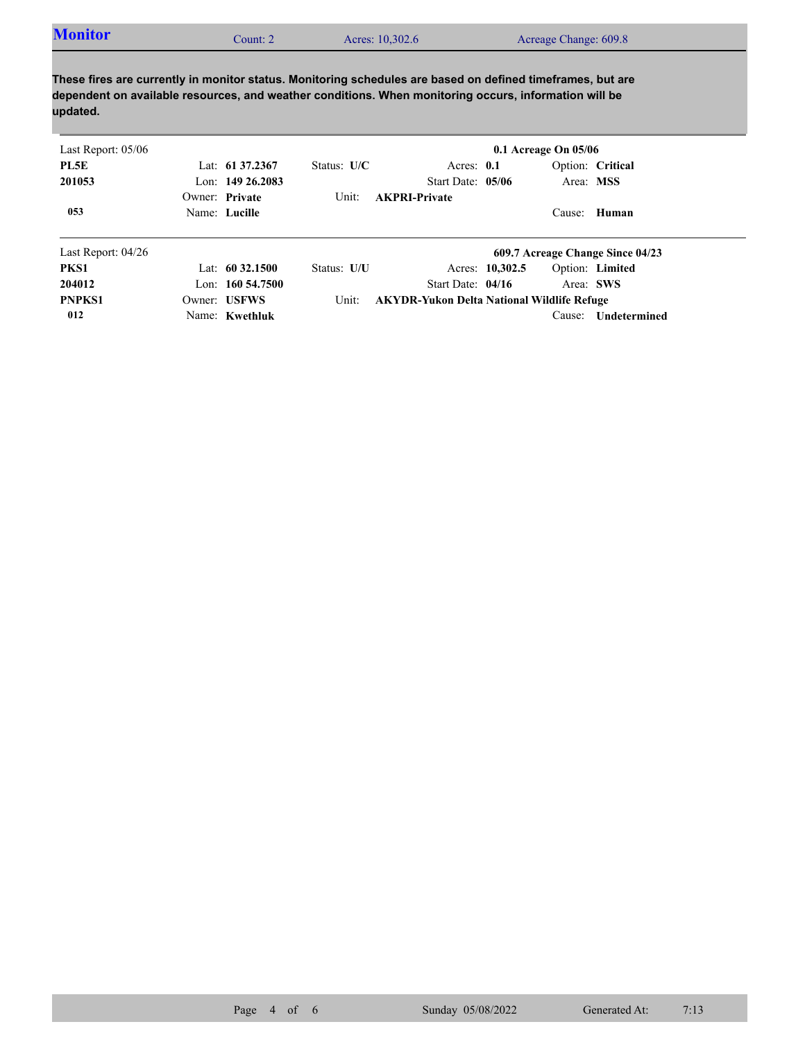| <b>Monitor</b><br>Acres: 10,302.6<br>Acreage Change: 609.8<br>Count: 2 |  |
|------------------------------------------------------------------------|--|
|------------------------------------------------------------------------|--|

**These fires are currently in monitor status. Monitoring schedules are based on defined timeframes, but are dependent on available resources, and weather conditions. When monitoring occurs, information will be updated.**

| Last Report: $05/06$ |                     |               |                                                   |                 | $0.1$ Acreage On $05/06$ |                                  |
|----------------------|---------------------|---------------|---------------------------------------------------|-----------------|--------------------------|----------------------------------|
| PL5E                 | Lat: $61\,37.2367$  | Status: $U/C$ | Acres: $0.1$                                      |                 |                          | Option: Critical                 |
| 201053               | Lon: $149\,26.2083$ |               | Start Date: 05/06                                 |                 |                          | Area: MSS                        |
|                      | Owner: Private      | Unit:         | <b>AKPRI-Private</b>                              |                 |                          |                                  |
| 053                  | Name: Lucille       |               |                                                   |                 |                          | Cause: Human                     |
| Last Report: $04/26$ |                     |               |                                                   |                 |                          | 609.7 Acreage Change Since 04/23 |
| PKS1                 | Lat: $60\,32.1500$  | Status: U/U   |                                                   | Acres: 10,302.5 |                          | Option: Limited                  |
| 204012               | Lon: $160\,54.7500$ |               | Start Date: 04/16                                 |                 |                          | Area: SWS                        |
| <b>PNPKS1</b>        | Owner: USFWS        | Unit:         | <b>AKYDR-Yukon Delta National Wildlife Refuge</b> |                 |                          |                                  |
| 012                  | Name: Kwethluk      |               |                                                   |                 | Cause:                   | <b>Undetermined</b>              |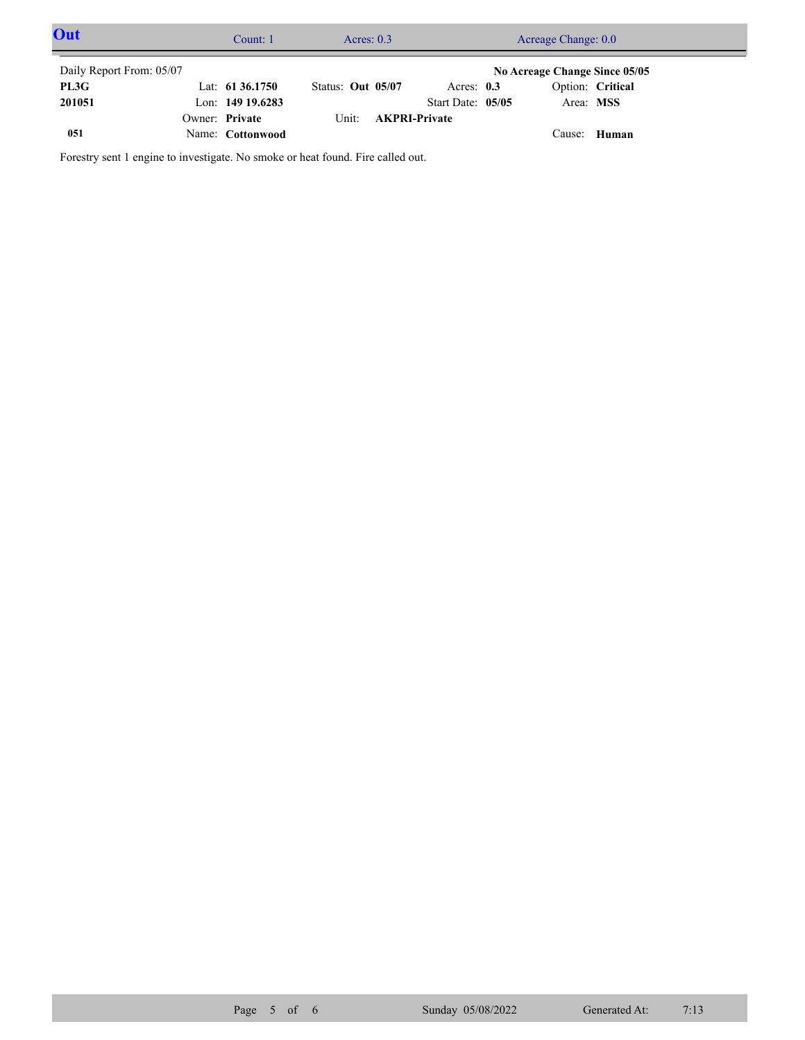| Out                      | Count: 1           | Acres: $0.3$      |                            | Acreage Change: 0.0           |                  |  |
|--------------------------|--------------------|-------------------|----------------------------|-------------------------------|------------------|--|
| Daily Report From: 05/07 |                    |                   |                            | No Acreage Change Since 05/05 |                  |  |
| PL3G                     | Lat: $6136.1750$   | Status: Out 05/07 | Acres: $0.3$               |                               | Option: Critical |  |
| 201051                   | Lon: $149$ 19.6283 |                   | Start Date: 05/05          | Area: MSS                     |                  |  |
|                          | Owner: Private     |                   | Unit: <b>AKPRI-Private</b> |                               |                  |  |
| 051                      | Name: Cottonwood   |                   |                            | Cause:                        | <b>Human</b>     |  |

Forestry sent 1 engine to investigate. No smoke or heat found. Fire called out.